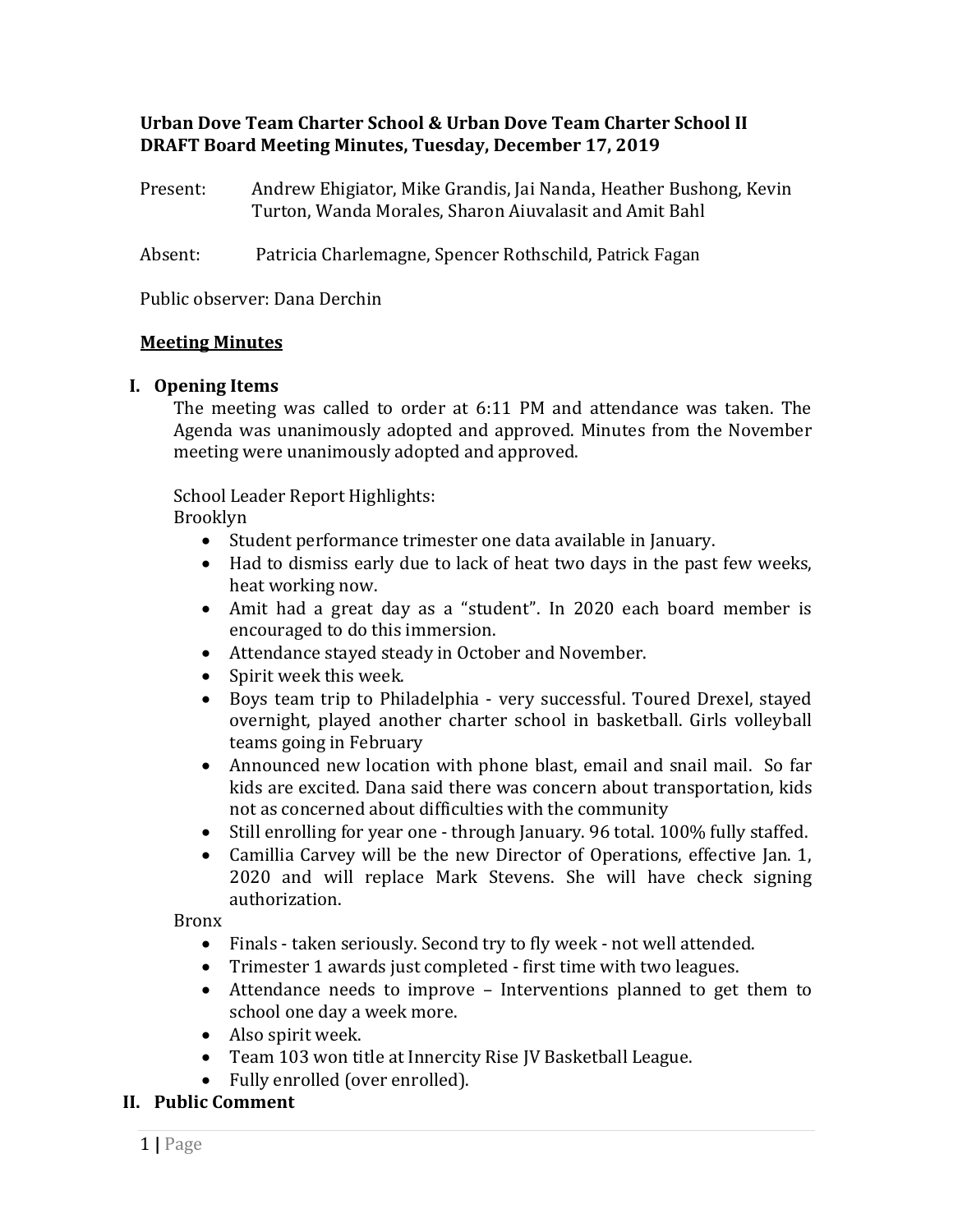# **Urban Dove Team Charter School & Urban Dove Team Charter School II DRAFT Board Meeting Minutes, Tuesday, December 17, 2019**

| Present: | Andrew Ehigiator, Mike Grandis, Jai Nanda, Heather Bushong, Kevin |
|----------|-------------------------------------------------------------------|
|          | Turton, Wanda Morales, Sharon Aiuvalasit and Amit Bahl            |

Absent: Patricia Charlemagne, Spencer Rothschild, Patrick Fagan

Public observer: Dana Derchin

#### **Meeting Minutes**

#### **I. Opening Items**

The meeting was called to order at 6:11 PM and attendance was taken. The Agenda was unanimously adopted and approved. Minutes from the November meeting were unanimously adopted and approved.

School Leader Report Highlights:

Brooklyn

- Student performance trimester one data available in January.
- Had to dismiss early due to lack of heat two days in the past few weeks, heat working now.
- Amit had a great day as a "student". In 2020 each board member is encouraged to do this immersion.
- Attendance stayed steady in October and November.
- Spirit week this week.
- Boys team trip to Philadelphia very successful. Toured Drexel, stayed overnight, played another charter school in basketball. Girls volleyball teams going in February
- Announced new location with phone blast, email and snail mail. So far kids are excited. Dana said there was concern about transportation, kids not as concerned about difficulties with the community
- Still enrolling for year one through January. 96 total. 100% fully staffed.
- Camillia Carvey will be the new Director of Operations, effective Jan. 1, 2020 and will replace Mark Stevens. She will have check signing authorization.

Bronx

- Finals taken seriously. Second try to fly week not well attended.
- Trimester 1 awards just completed first time with two leagues.
- Attendance needs to improve Interventions planned to get them to school one day a week more.
- Also spirit week.
- Team 103 won title at Innercity Rise JV Basketball League.
- Fully enrolled (over enrolled).

#### **II. Public Comment**